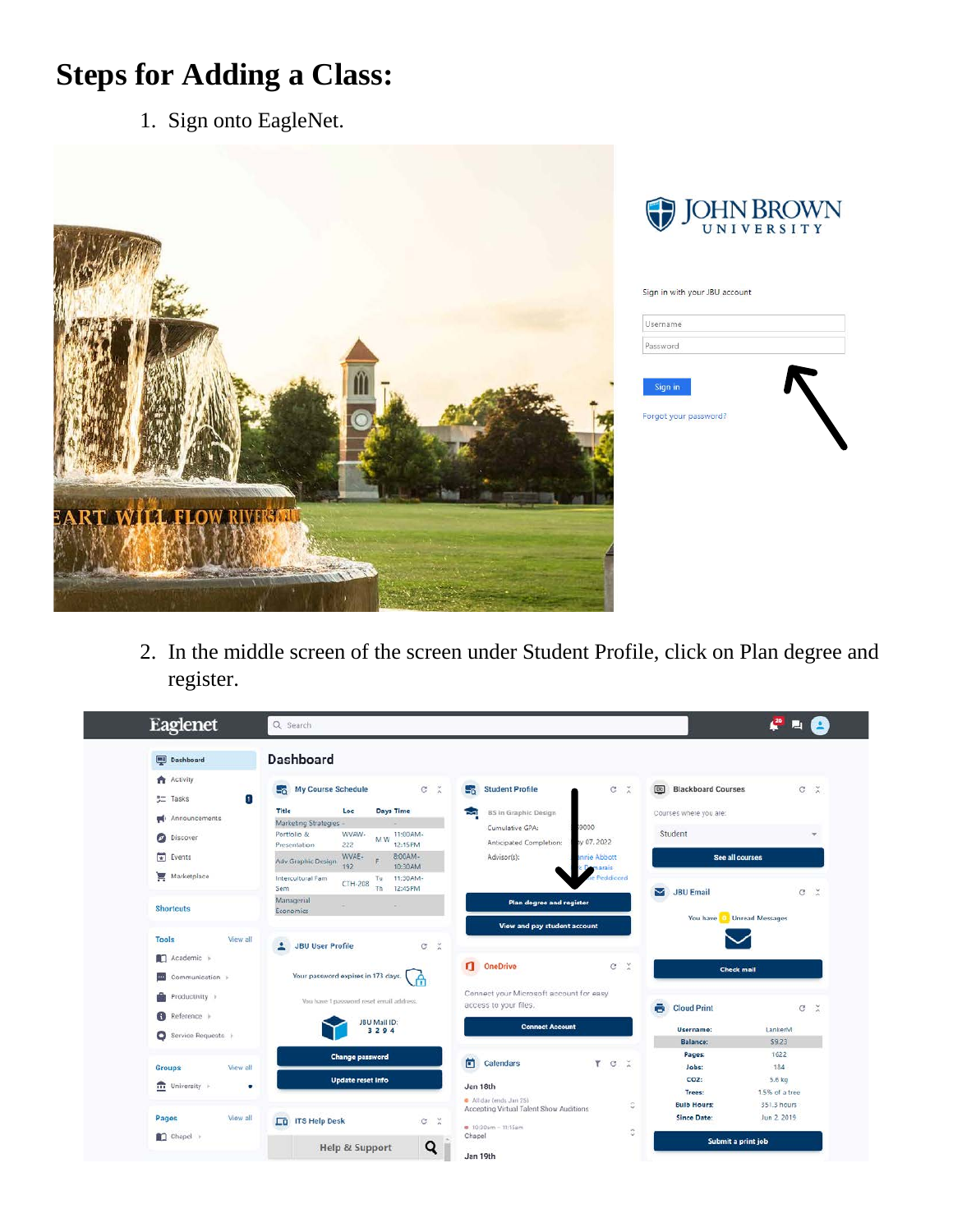## **Steps for Adding a Class:**

1. Sign onto EagleNet.



2. In the middle screen of the screen under Student Profile, click on Plan degree and register.

| Eaglenet                                                                                                        | $\frac{26}{3}$<br><b>Part</b><br>Q Search                                                                                                                                                                                                                                                                                                                                                                                                                                                                                                      |
|-----------------------------------------------------------------------------------------------------------------|------------------------------------------------------------------------------------------------------------------------------------------------------------------------------------------------------------------------------------------------------------------------------------------------------------------------------------------------------------------------------------------------------------------------------------------------------------------------------------------------------------------------------------------------|
| Dashboard                                                                                                       | Dashboard                                                                                                                                                                                                                                                                                                                                                                                                                                                                                                                                      |
| <b>Activity</b><br>$\mathbf{r}$<br><b>SI</b> Tasks<br><b>pd</b> Announcements<br><b>Discover</b><br>尚<br>Events | C <sub>x</sub><br>$C \times$<br>My Course Schedule<br>$C \times$<br><b>Bo</b> Blackboard Courses<br>$\mathbb{F}_2$<br><b>Student Profile</b><br>$-6$<br>Title<br>Days Time<br>Loc<br>BS in Graphic Design<br>Courses where you are:<br>Ł<br>Marketing Strategies<br>9000<br>Cumulative GPA:<br>Student<br>WVAW-<br>Portfolio &<br>11:00AM-<br>×.<br>M <sub>W</sub><br>v 07.2022<br>Anticipated Completion:<br>12:15PM<br>222<br>Presentation<br>WVAE-<br>8:00AM-<br>Advisor(s):<br>nnie Abbott<br><b>See all courses</b><br>Adv Graphic Design |
| Marketplace<br><b>Shortcuts</b>                                                                                 | 10:30AM<br>192<br>marais<br><b>de Peddicord</b><br>Intercultural Fam<br>11:30AM-<br>Tu<br>CTH-208<br>12:45 PM<br>Sem<br>Th.<br>$C \times$<br>М<br><b>JBU Email</b><br>Managerial<br>Plan degree and register<br>÷<br>×.<br>Economics                                                                                                                                                                                                                                                                                                           |
| <b>Tools</b><br>View all<br>Academic ><br>Communication >                                                       | $\tilde{\mathbf{x}}$<br>$\circ$<br><b>JBU User Profile</b><br>д<br>a.<br>OneDrive<br>c<br>$\mathbb{X}$<br><b>Check mail</b><br>Your password expires in 173 days.<br>A                                                                                                                                                                                                                                                                                                                                                                         |
| Productivity is<br>Reference ><br>Service Requests                                                              | Connect your Microsoft account for easy<br>You have 1 password reset email address.<br>access to your files.<br>$\ddot{\bullet}$<br><b>Cloud Print</b><br>$\frac{1}{26}$<br>G<br>JBU Mail ID:<br><b>Connect Account</b><br>LankerM<br>Username:<br>3294<br>\$9,23<br><b>Balance:</b><br>1622                                                                                                                                                                                                                                                   |
| View all<br><b>Groups</b><br>$\overline{\mathbf{m}}$ University $\vdash$<br>۰<br>View all<br>Pages              | Pages:<br><b>Change password</b><br>茴<br><b>Calendars</b><br>۳<br>$\mathbb{R}$<br>$\circ$<br>184<br>Jobs:<br>Update reset info<br>CO <sub>2:</sub><br>5.6 kg<br>Jan 18th<br>1.5% of a tree<br>Trees:<br>All day (ends Jan 25)<br>351.3 hours<br>¢<br><b>Bulb Hours:</b><br>Accepting Virtual Talent Show Auditions<br>Jun 2 2019<br><b>Since Date:</b>                                                                                                                                                                                         |
| Chapel >                                                                                                        | <b>ITS Help Desk</b><br><b>ED</b><br>c<br>$\boldsymbol{\times}$<br># 10:30am - 11:15am<br>Ğ,<br>Chapel<br>Submit a print job<br>Q<br>Help & Support<br>Jan 19th                                                                                                                                                                                                                                                                                                                                                                                |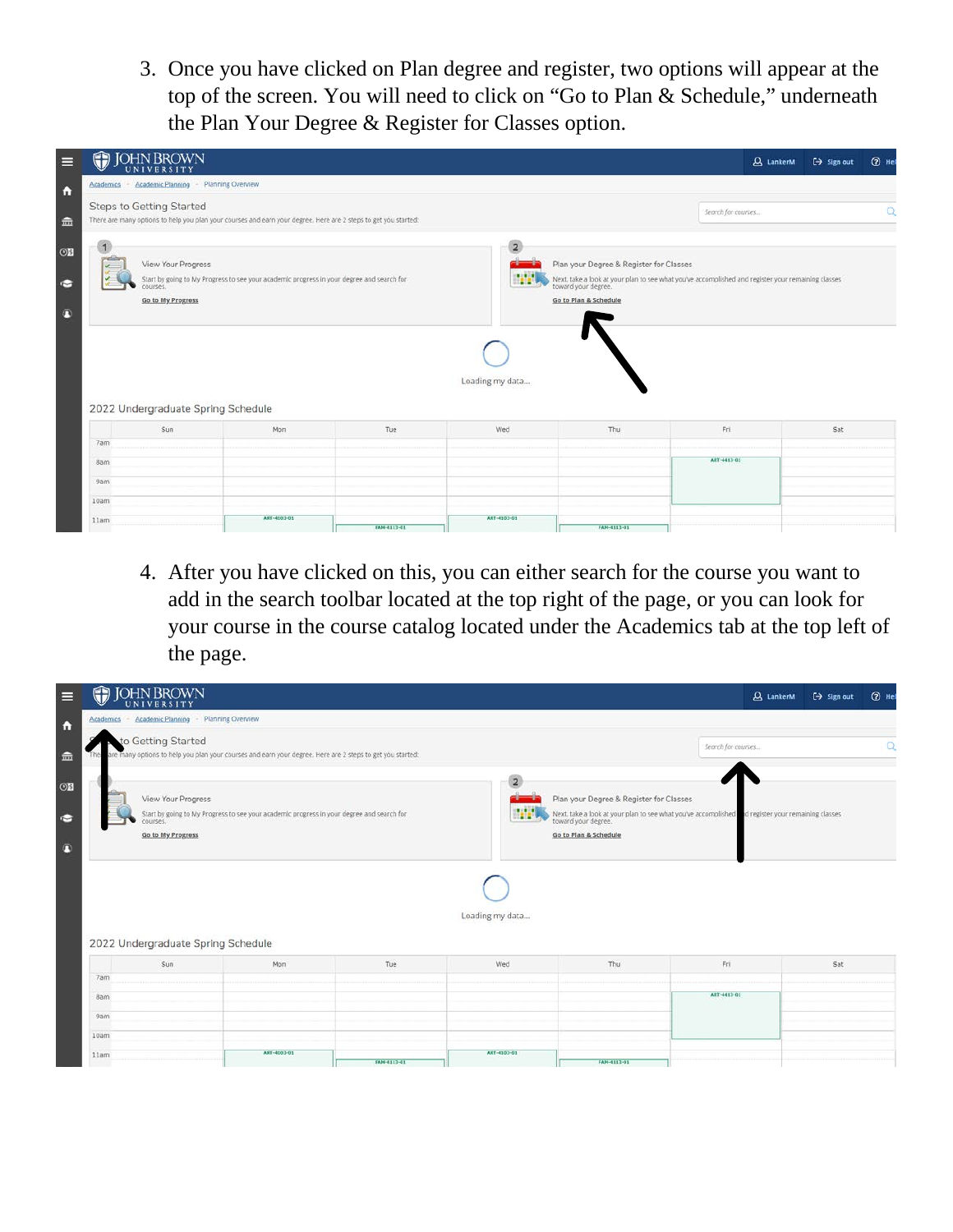3. Once you have clicked on Plan degree and register, two options will appear at the top of the screen. You will need to click on "Go to Plan & Schedule," underneath the Plan Your Degree & Register for Classes option.

| O          | <b>JOHN BROWN</b>                                                                         |                                                                                                                 |             |                 |                                                                  | <b>Q</b> LankerM                                                                                                       | $\leftrightarrow$ Sign out | $Q$ Hel |
|------------|-------------------------------------------------------------------------------------------|-----------------------------------------------------------------------------------------------------------------|-------------|-----------------|------------------------------------------------------------------|------------------------------------------------------------------------------------------------------------------------|----------------------------|---------|
|            | Academics - Academic Planning - Planning Overview                                         |                                                                                                                 |             |                 |                                                                  |                                                                                                                        |                            |         |
|            | <b>Steps to Getting Started</b>                                                           | There are many options to help you plan your courses and earn your degree. Here are 2 steps to get you started: |             |                 |                                                                  | Search for courses                                                                                                     |                            |         |
|            | View Your Progress<br>courses.<br>Go to My Progress<br>2022 Undergraduate Spring Schedule | Start by going to My Progress to see your academic progress in your degree and search for                       |             | Loading my data | Plan your Degree & Register for Classes<br>Go to Plan & Schedule | Next, take a look at your plan to see what you've accomplished and register your remaining classes toward your degree. |                            |         |
|            | Sun                                                                                       | Mon                                                                                                             | Tue         | Wed             | Thu                                                              | Fri                                                                                                                    | Sat                        |         |
| 7am        |                                                                                           |                                                                                                                 |             |                 |                                                                  |                                                                                                                        |                            |         |
| <b>Bam</b> |                                                                                           |                                                                                                                 |             |                 |                                                                  | ART-4413-01                                                                                                            |                            |         |
| 9am        |                                                                                           |                                                                                                                 |             |                 |                                                                  |                                                                                                                        |                            |         |
| 10am       |                                                                                           |                                                                                                                 |             |                 |                                                                  |                                                                                                                        |                            |         |
|            |                                                                                           | ART-4103-01                                                                                                     |             | ART-4103-01     |                                                                  |                                                                                                                        |                            |         |
| 11am       |                                                                                           |                                                                                                                 | FAM-4113-01 |                 | FAM-4113-01                                                      |                                                                                                                        |                            |         |

4. After you have clicked on this, you can either search for the course you want to add in the search toolbar located at the top right of the page, or you can look for your course in the course catalog located under the Academics tab at the top left of the page.

| O<br>E                      | <b>JOHN BROWN</b>                                                                                |                                                                                                           |             |                                   |                                                                                                                                                                                          |                    | <b>Q</b> LankerM | $\leftrightarrow$ Sign out | $②$ Hel  |
|-----------------------------|--------------------------------------------------------------------------------------------------|-----------------------------------------------------------------------------------------------------------|-------------|-----------------------------------|------------------------------------------------------------------------------------------------------------------------------------------------------------------------------------------|--------------------|------------------|----------------------------|----------|
| $\ddot{\phantom{a}}$        | Academics - Academic Planning - Planning Overview                                                |                                                                                                           |             |                                   |                                                                                                                                                                                          |                    |                  |                            |          |
| $\widehat{m}$               | to Getting Started                                                                               | are many options to help you plan your courses and earn your degree. Here are 2 steps to get you started: |             |                                   |                                                                                                                                                                                          | Search for courses |                  |                            | $\alpha$ |
| O5<br>$\sum_{i=1}^{n}$<br>n | View Your Progress<br>courses.<br><b>Go to My Progress</b><br>2022 Undergraduate Spring Schedule | Start by going to My Progress to see your academic progress in your degree and search for                 |             | $\overline{2}$<br>Loading my data | Plan your Degree & Register for Classes<br>Next, take a look at your plan to see what you've accomplished d register your remaining classes toward your degree.<br>Go to Plan & Schedule |                    |                  |                            |          |
|                             | Sun                                                                                              | Mon                                                                                                       | Tue         | Wed                               | Thu                                                                                                                                                                                      | Fri                |                  | Sat                        |          |
| 7am<br><b>Bam</b>           |                                                                                                  |                                                                                                           |             |                                   |                                                                                                                                                                                          | ART-4413-01        |                  |                            |          |
| 9am                         |                                                                                                  |                                                                                                           |             |                                   |                                                                                                                                                                                          |                    |                  |                            |          |
| 10am                        |                                                                                                  |                                                                                                           |             |                                   |                                                                                                                                                                                          |                    |                  |                            |          |
| 11am                        |                                                                                                  | ART-4103-01                                                                                               | FAH-4113-01 | ART-4103-01                       | FAM-4112-01                                                                                                                                                                              |                    |                  |                            |          |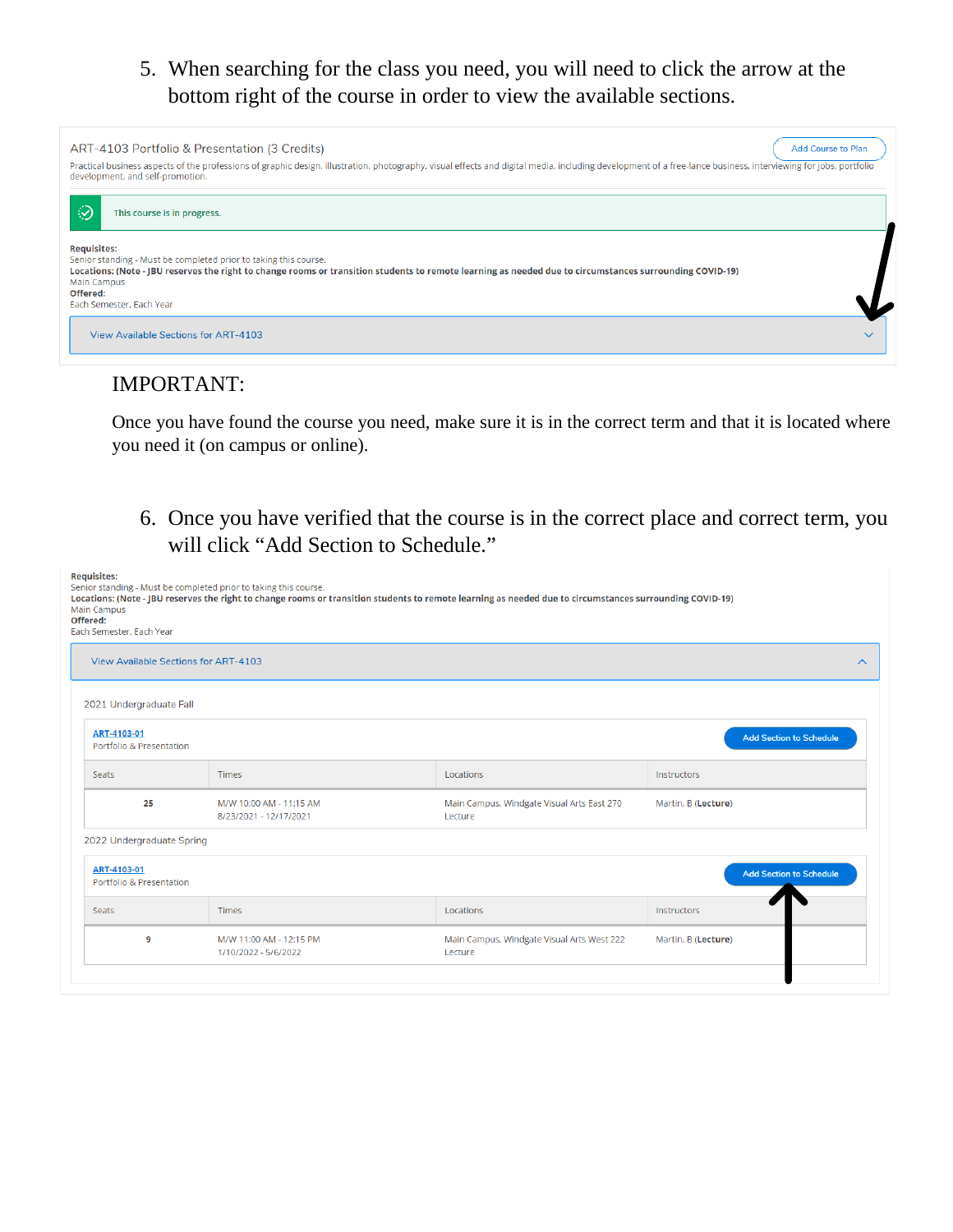## 5. When searching for the class you need, you will need to click the arrow at the bottom right of the course in order to view the available sections.



## IMPORTANT:

**Service** 

Once you have found the course you need, make sure it is in the correct term and that it is located where you need it (on campus or online).

6. Once you have verified that the course is in the correct place and correct term, you will click "Add Section to Schedule."

| <b>Requisites:</b><br>Senior standing - Must be completed prior to taking this course.<br><b>Main Campus</b><br>Offered:<br>Each Semester, Each Year | Locations: (Note - JBU reserves the right to change rooms or transition students to remote learning as needed due to circumstances surrounding COVID-19) |                                                       |                                |
|------------------------------------------------------------------------------------------------------------------------------------------------------|----------------------------------------------------------------------------------------------------------------------------------------------------------|-------------------------------------------------------|--------------------------------|
| <b>View Available Sections for ART-4103</b>                                                                                                          |                                                                                                                                                          |                                                       | $\wedge$                       |
| 2021 Undergraduate Fall                                                                                                                              |                                                                                                                                                          |                                                       |                                |
| ART-4103-01<br>Portfolio & Presentation                                                                                                              |                                                                                                                                                          |                                                       | <b>Add Section to Schedule</b> |
| <b>Seats</b>                                                                                                                                         | <b>Times</b>                                                                                                                                             | Locations                                             | Instructors                    |
| 25                                                                                                                                                   | M/W 10:00 AM - 11:15 AM<br>8/23/2021 - 12/17/2021                                                                                                        | Main Campus, Windgate Visual Arts East 270<br>Lecture | Martin, B (Lecture)            |
| 2022 Undergraduate Spring                                                                                                                            |                                                                                                                                                          |                                                       |                                |
| ART-4103-01<br>Portfolio & Presentation                                                                                                              |                                                                                                                                                          |                                                       | <b>Add Section to Schedule</b> |
| <b>Seats</b>                                                                                                                                         | <b>Times</b>                                                                                                                                             | Locations                                             | Instructors                    |
| 9                                                                                                                                                    | M/W 11:00 AM - 12:15 PM<br>1/10/2022 - 5/6/2022                                                                                                          | Main Campus, Windgate Visual Arts West 222<br>Lecture | Martin, B (Lecture)            |
|                                                                                                                                                      |                                                                                                                                                          |                                                       |                                |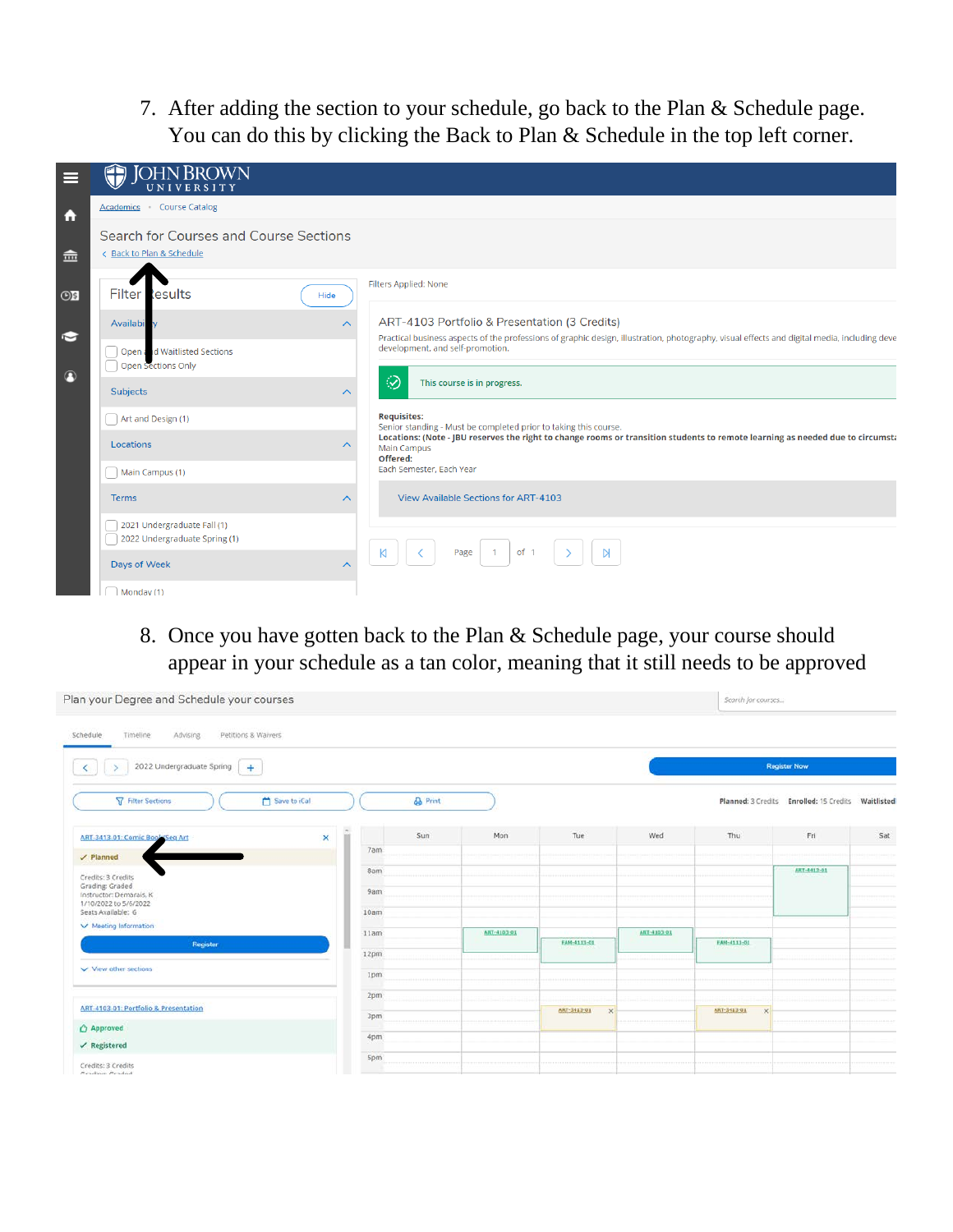7. After adding the section to your schedule, go back to the Plan & Schedule page. You can do this by clicking the Back to Plan & Schedule in the top left corner.

|           | <b>JOHN BROWN</b><br>UNIVERSITY                                     |                                                                                                                                                                                  |
|-----------|---------------------------------------------------------------------|----------------------------------------------------------------------------------------------------------------------------------------------------------------------------------|
| m         | Academics Course Catalog                                            |                                                                                                                                                                                  |
| 侖         | Search for Courses and Course Sections<br>< Back to Plan & Schedule |                                                                                                                                                                                  |
| $\odot$ s | Filter lesults<br>Hide                                              | Filters Applied: None                                                                                                                                                            |
|           | Availabi<br>$\curvearrowright$                                      | ART-4103 Portfolio & Presentation (3 Credits)                                                                                                                                    |
| $\sim$    | Open and Waitlisted Sections<br>Open Sections Only                  | Practical business aspects of the professions of graphic design, illustration, photography, visual effects and digital media, including deve<br>development, and self-promotion. |
| $\bigcap$ | <b>Subjects</b><br>⌒                                                | ⊛<br>This course is in progress.                                                                                                                                                 |
|           | Art and Design (1)                                                  | <b>Requisites:</b><br>Senior standing - Must be completed prior to taking this course.                                                                                           |
|           | Locations<br>⌒                                                      | Locations: (Note - JBU reserves the right to change rooms or transition students to remote learning as needed due to circumsta<br>Main Campus                                    |
|           | Main Campus (1)                                                     | Offered:<br>Each Semester, Each Year                                                                                                                                             |
|           | <b>Terms</b><br>$\wedge$                                            | <b>View Available Sections for ART-4103</b>                                                                                                                                      |
|           | 2021 Undergraduate Fall (1)<br>2022 Undergraduate Spring (1)        |                                                                                                                                                                                  |
|           | <b>Days of Week</b><br>$\lambda$                                    | of 1<br>$\overline{1}$<br>Page                                                                                                                                                   |
|           | Monday (1)                                                          |                                                                                                                                                                                  |

8. Once you have gotten back to the Plan & Schedule page, your course should appear in your schedule as a tan color, meaning that it still needs to be approved

| Plan your Degree and Schedule your courses                   |              |      |                |             | Search for courses      |             |                          |                                         |            |
|--------------------------------------------------------------|--------------|------|----------------|-------------|-------------------------|-------------|--------------------------|-----------------------------------------|------------|
| Timeline<br>Advising<br>Schedule<br>Petitions & Waivers      |              |      |                |             |                         |             |                          |                                         |            |
| 2022 Undergraduate Spring $+$<br>$\mathcal{S}$<br>$\epsilon$ |              |      |                |             |                         |             |                          | <b>Register Now</b>                     |            |
| Filter Sections                                              | Save to iCal |      | <b>A</b> Print |             |                         |             |                          | Planned: 3 Credits Enrolled: 15 Credits | Waitlisted |
| ART-3413-01: Comic Book/Seq Art                              | ×            |      | Sun            | Mon         | Tue                     | Wed         | Thu                      | Fri                                     | Sat        |
| $\vee$ Planned                                               |              | 7am  |                |             |                         |             |                          |                                         |            |
| Credits: 3 Credits                                           |              | 8am  |                |             |                         |             |                          | ART-4413-01                             |            |
| Grading: Graded<br>Instructor: Demarais, K                   |              | 9am  |                |             |                         |             |                          |                                         |            |
| 1/10/2022 to 5/6/2022<br>Seats Available: 6                  |              | 10am |                |             |                         |             |                          |                                         |            |
| V Meeting Information                                        |              |      |                | ART-4103-01 |                         | ART-4103-01 |                          |                                         |            |
| Register                                                     |              | 11am |                |             | FAM-4113-01             |             | FAM-4113-01              |                                         |            |
|                                                              |              | 12pm |                |             |                         |             |                          |                                         |            |
| $\vee$ View other sections                                   |              | 1pm  |                |             |                         |             |                          |                                         |            |
|                                                              |              | 2pm  |                |             |                         |             |                          |                                         |            |
| ART-4103-01: Portfolio & Presentation                        |              |      |                |             | ART-3413-01<br>$\times$ |             | ART-3413-01<br>$\propto$ |                                         |            |
| Approved                                                     |              | 3pm  |                |             |                         |             |                          |                                         |            |
| $\checkmark$ Registered                                      |              | 4pm  |                |             |                         |             |                          |                                         |            |
| Credits: 3 Credits<br>Grading: Gradud                        |              | 5pm  |                |             |                         |             |                          |                                         |            |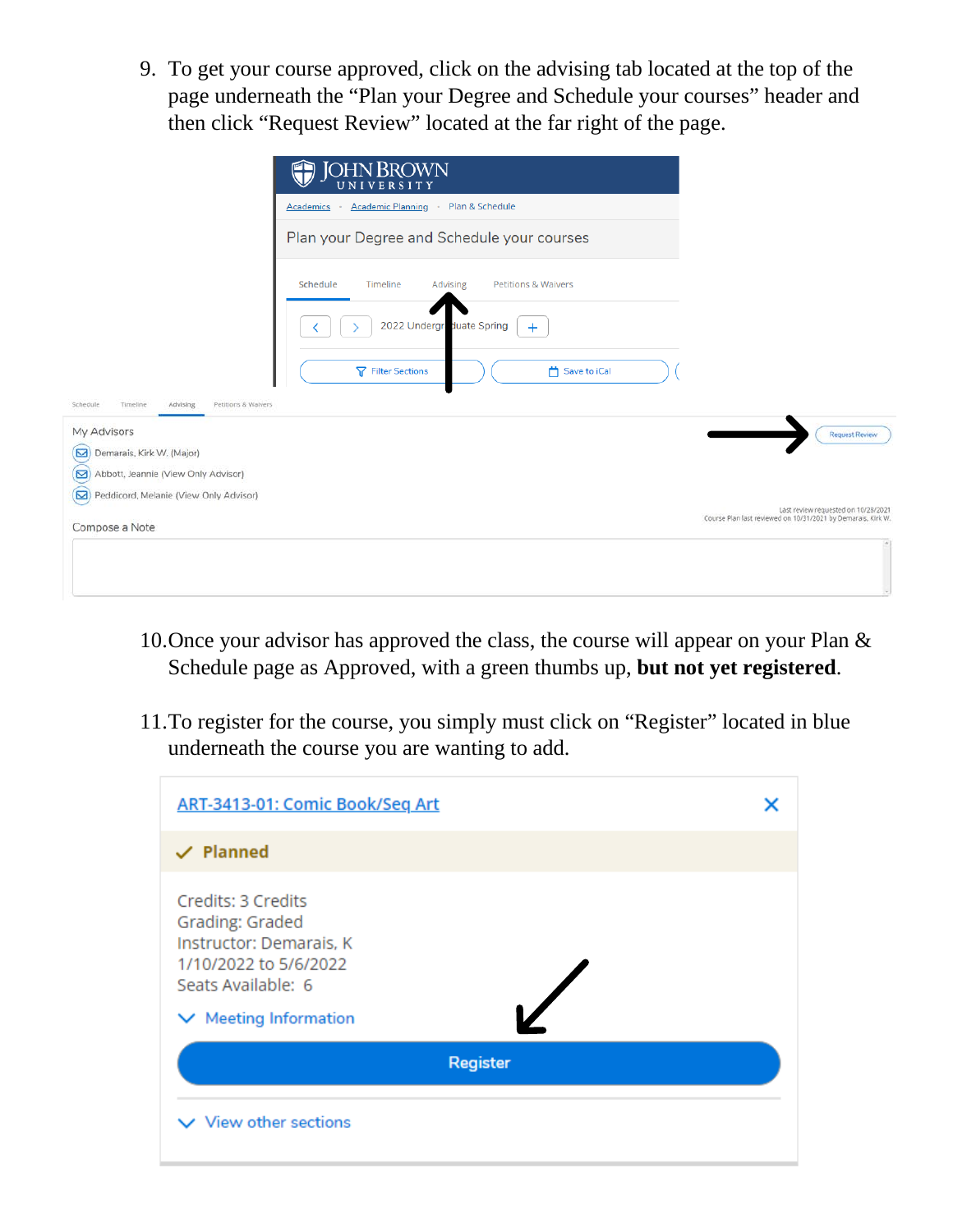9. To get your course approved, click on the advising tab located at the top of the page underneath the "Plan your Degree and Schedule your courses" header and then click "Request Review" located at the far right of the page.

|                                                                            | <b>JOHN BROWN</b><br>UNIVERSITY                                    |                                                                                                     |
|----------------------------------------------------------------------------|--------------------------------------------------------------------|-----------------------------------------------------------------------------------------------------|
|                                                                            | Academic Planning · Plan & Schedule<br>Academics<br>$\sim$         |                                                                                                     |
|                                                                            | Plan your Degree and Schedule your courses                         |                                                                                                     |
|                                                                            | Schedule<br>Timeline<br><b>Petitions &amp; Waivers</b><br>Advising |                                                                                                     |
|                                                                            | 2022 Undergraduate Spring<br>$+$                                   |                                                                                                     |
|                                                                            | <b>了</b> Filter Sections<br>Save to iCal                           |                                                                                                     |
| Petitions & Waivers<br>Schedule<br>Timeline<br>Advising<br>My Advisors     |                                                                    | <b>Request Review</b>                                                                               |
| ⊠<br>Demarais, Kirk W. (Major)<br>◙<br>Abbott, Jeannie (View Only Advisor) |                                                                    |                                                                                                     |
| Peddicord, Melanie (View Only Advisor)<br>Compose a Note                   |                                                                    | Last review requested on 10/28/2021<br>Course Plan last reviewed on 10/31/2021 by Demarais, Kirk W. |
|                                                                            |                                                                    |                                                                                                     |
|                                                                            |                                                                    |                                                                                                     |

- 10.Once your advisor has approved the class, the course will appear on your Plan & Schedule page as Approved, with a green thumbs up, **but not yet registered**.
- 11.To register for the course, you simply must click on "Register" located in blue underneath the course you are wanting to add.

| ART-3413-01: Comic Book/Seq Art                                                                                 |  |  |  |  |  |
|-----------------------------------------------------------------------------------------------------------------|--|--|--|--|--|
| $\vee$ Planned                                                                                                  |  |  |  |  |  |
| Credits: 3 Credits<br>Grading: Graded<br>Instructor: Demarais, K<br>1/10/2022 to 5/6/2022<br>Seats Available: 6 |  |  |  |  |  |
| $\vee$ Meeting Information                                                                                      |  |  |  |  |  |
| Register                                                                                                        |  |  |  |  |  |
| $\vee$ View other sections                                                                                      |  |  |  |  |  |